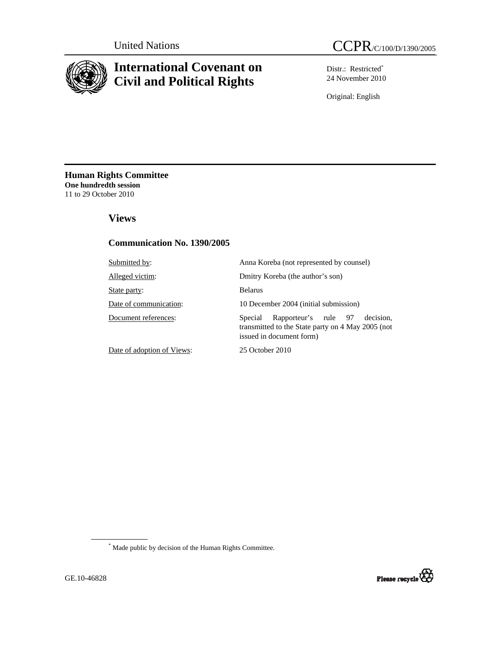

# **International Covenant on Civil and Political Rights**

Distr.: Restricted\* 24 November 2010

Original: English

**Human Rights Committee One hundredth session** 11 to 29 October 2010

# **Views**

# **Communication No. 1390/2005**

| Submitted by:              | Anna Koreba (not represented by counsel)                                                                                      |
|----------------------------|-------------------------------------------------------------------------------------------------------------------------------|
| Alleged victim:            | Dmitry Koreba (the author's son)                                                                                              |
| State party:               | <b>Belarus</b>                                                                                                                |
| Date of communication:     | 10 December 2004 (initial submission)                                                                                         |
| Document references:       | Rapporteur's rule 97<br>decision.<br>Special<br>transmitted to the State party on 4 May 2005 (not<br>issued in document form) |
| Date of adoption of Views: | 25 October 2010                                                                                                               |

\* Made public by decision of the Human Rights Committee.

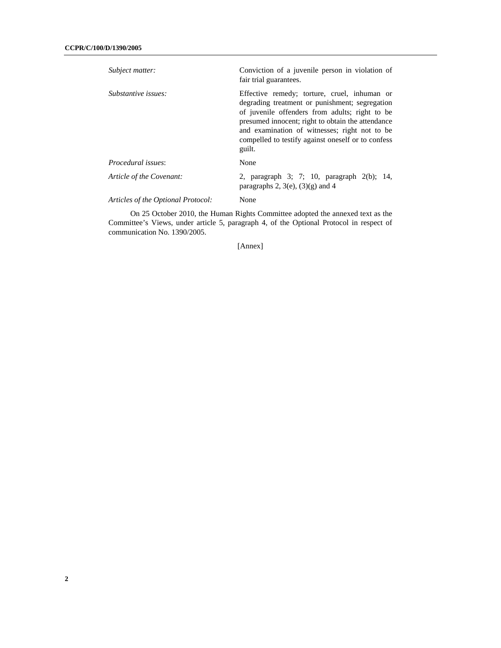| Subject matter:                    | Conviction of a juvenile person in violation of<br>fair trial guarantees.                                                                                                                                                                                                                                              |
|------------------------------------|------------------------------------------------------------------------------------------------------------------------------------------------------------------------------------------------------------------------------------------------------------------------------------------------------------------------|
| Substantive issues:                | Effective remedy; torture, cruel, inhuman or<br>degrading treatment or punishment; segregation<br>of juvenile offenders from adults; right to be<br>presumed innocent; right to obtain the attendance<br>and examination of witnesses; right not to be<br>compelled to testify against oneself or to confess<br>guilt. |
| Procedural issues:                 | None                                                                                                                                                                                                                                                                                                                   |
| Article of the Covenant:           | 2, paragraph 3; 7; 10, paragraph $2(b)$ ; 14,<br>paragraphs 2, $3(e)$ , $(3)(g)$ and 4                                                                                                                                                                                                                                 |
| Articles of the Optional Protocol: | None                                                                                                                                                                                                                                                                                                                   |

 On 25 October 2010, the Human Rights Committee adopted the annexed text as the Committee's Views, under article 5, paragraph 4, of the Optional Protocol in respect of communication No. 1390/2005.

[Annex]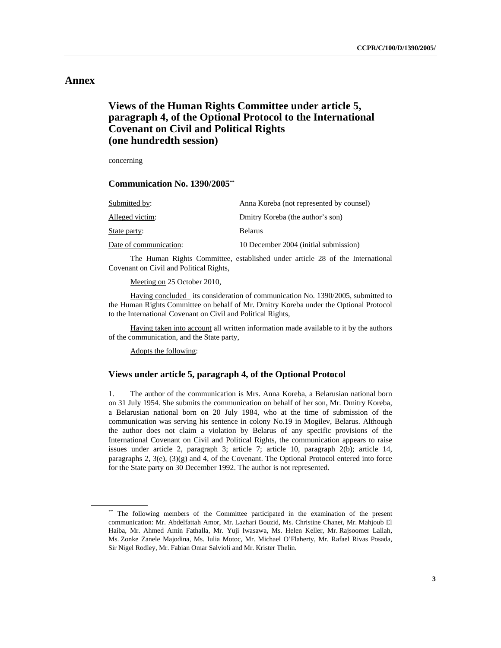# **Annex**

# **Views of the Human Rights Committee under article 5, paragraph 4, of the Optional Protocol to the International Covenant on Civil and Political Rights (one hundredth session)**

concerning

 **Communication No. 1390/2005\*\***

| Submitted by:          | Anna Koreba (not represented by counsel) |
|------------------------|------------------------------------------|
| Alleged victim:        | Dmitry Koreba (the author's son)         |
| State party:           | <b>Belarus</b>                           |
| Date of communication: | 10 December 2004 (initial submission)    |

 The Human Rights Committee, established under article 28 of the International Covenant on Civil and Political Rights,

Meeting on 25 October 2010,

 Having concluded its consideration of communication No. 1390/2005, submitted to the Human Rights Committee on behalf of Mr. Dmitry Koreba under the Optional Protocol to the International Covenant on Civil and Political Rights,

 Having taken into account all written information made available to it by the authors of the communication, and the State party,

Adopts the following:

## **Views under article 5, paragraph 4, of the Optional Protocol**

1. The author of the communication is Mrs. Anna Koreba, a Belarusian national born on 31 July 1954. She submits the communication on behalf of her son, Mr. Dmitry Koreba, a Belarusian national born on 20 July 1984, who at the time of submission of the communication was serving his sentence in colony No.19 in Mogilev, Belarus. Although the author does not claim a violation by Belarus of any specific provisions of the International Covenant on Civil and Political Rights, the communication appears to raise issues under article 2, paragraph 3; article 7; article 10, paragraph 2(b); article 14, paragraphs 2, 3(e), (3)(g) and 4, of the Covenant. The Optional Protocol entered into force for the State party on 30 December 1992. The author is not represented.

<sup>\*\*</sup> The following members of the Committee participated in the examination of the present communication: Mr. Abdelfattah Amor, Mr. Lazhari Bouzid, Ms. Christine Chanet, Mr. Mahjoub El Haiba, Mr. Ahmed Amin Fathalla, Mr. Yuji Iwasawa, Ms. Helen Keller, Mr. Rajsoomer Lallah, Ms. Zonke Zanele Majodina, Ms. Iulia Motoc, Mr. Michael O'Flaherty, Mr. Rafael Rivas Posada, Sir Nigel Rodley, Mr. Fabian Omar Salvioli and Mr. Krister Thelin.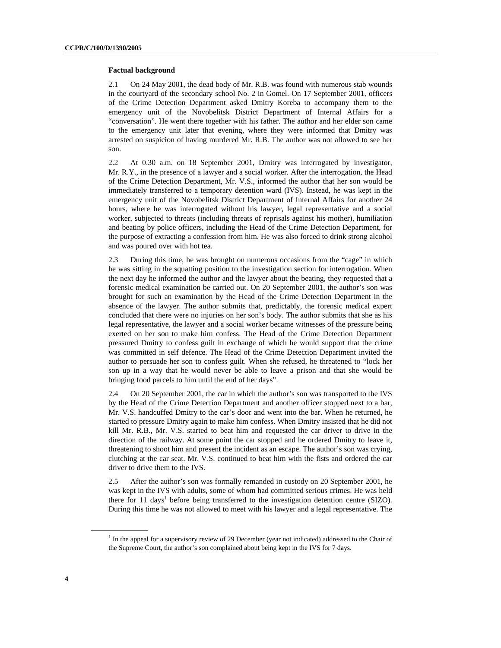#### **Factual background**

2.1 On 24 May 2001, the dead body of Mr. R.B. was found with numerous stab wounds in the courtyard of the secondary school No. 2 in Gomel. On 17 September 2001, officers of the Crime Detection Department asked Dmitry Koreba to accompany them to the emergency unit of the Novobelitsk District Department of Internal Affairs for a "conversation". He went there together with his father. The author and her elder son came to the emergency unit later that evening, where they were informed that Dmitry was arrested on suspicion of having murdered Mr. R.B. The author was not allowed to see her son.

2.2 At 0.30 a.m. on 18 September 2001, Dmitry was interrogated by investigator, Mr. R.Y., in the presence of a lawyer and a social worker. After the interrogation, the Head of the Crime Detection Department, Mr. V.S., informed the author that her son would be immediately transferred to a temporary detention ward (IVS). Instead, he was kept in the emergency unit of the Novobelitsk District Department of Internal Affairs for another 24 hours, where he was interrogated without his lawyer, legal representative and a social worker, subjected to threats (including threats of reprisals against his mother), humiliation and beating by police officers, including the Head of the Crime Detection Department, for the purpose of extracting a confession from him. He was also forced to drink strong alcohol and was poured over with hot tea.

2.3 During this time, he was brought on numerous occasions from the "cage" in which he was sitting in the squatting position to the investigation section for interrogation. When the next day he informed the author and the lawyer about the beating, they requested that a forensic medical examination be carried out. On 20 September 2001, the author's son was brought for such an examination by the Head of the Crime Detection Department in the absence of the lawyer. The author submits that, predictably, the forensic medical expert concluded that there were no injuries on her son's body. The author submits that she as his legal representative, the lawyer and a social worker became witnesses of the pressure being exerted on her son to make him confess. The Head of the Crime Detection Department pressured Dmitry to confess guilt in exchange of which he would support that the crime was committed in self defence. The Head of the Crime Detection Department invited the author to persuade her son to confess guilt. When she refused, he threatened to "lock her son up in a way that he would never be able to leave a prison and that she would be bringing food parcels to him until the end of her days".

2.4 On 20 September 2001, the car in which the author's son was transported to the IVS by the Head of the Crime Detection Department and another officer stopped next to a bar, Mr. V.S. handcuffed Dmitry to the car's door and went into the bar. When he returned, he started to pressure Dmitry again to make him confess. When Dmitry insisted that he did not kill Mr. R.B., Mr. V.S. started to beat him and requested the car driver to drive in the direction of the railway. At some point the car stopped and he ordered Dmitry to leave it, threatening to shoot him and present the incident as an escape. The author's son was crying, clutching at the car seat. Mr. V.S. continued to beat him with the fists and ordered the car driver to drive them to the IVS.

2.5 After the author's son was formally remanded in custody on 20 September 2001, he was kept in the IVS with adults, some of whom had committed serious crimes. He was held there for 11 days<sup>1</sup> before being transferred to the investigation detention centre (SIZO). During this time he was not allowed to meet with his lawyer and a legal representative. The

<sup>&</sup>lt;sup>1</sup> In the appeal for a supervisory review of 29 December (year not indicated) addressed to the Chair of the Supreme Court, the author's son complained about being kept in the IVS for 7 days.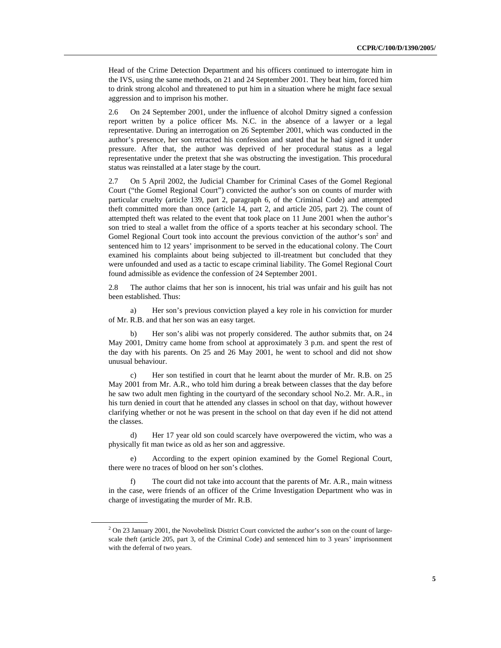Head of the Crime Detection Department and his officers continued to interrogate him in the IVS, using the same methods, on 21 and 24 September 2001. They beat him, forced him to drink strong alcohol and threatened to put him in a situation where he might face sexual aggression and to imprison his mother.

2.6 On 24 September 2001, under the influence of alcohol Dmitry signed a confession report written by a police officer Ms. N.C. in the absence of a lawyer or a legal representative. During an interrogation on 26 September 2001, which was conducted in the author's presence, her son retracted his confession and stated that he had signed it under pressure. After that, the author was deprived of her procedural status as a legal representative under the pretext that she was obstructing the investigation. This procedural status was reinstalled at a later stage by the court.

2.7 On 5 April 2002, the Judicial Chamber for Criminal Cases of the Gomel Regional Court ("the Gomel Regional Court") convicted the author's son on counts of murder with particular cruelty (article 139, part 2, paragraph 6, of the Criminal Code) and attempted theft committed more than once (article 14, part 2, and article 205, part 2). The count of attempted theft was related to the event that took place on 11 June 2001 when the author's son tried to steal a wallet from the office of a sports teacher at his secondary school. The Gomel Regional Court took into account the previous conviction of the author's son<sup>2</sup> and sentenced him to 12 years' imprisonment to be served in the educational colony. The Court examined his complaints about being subjected to ill-treatment but concluded that they were unfounded and used as a tactic to escape criminal liability. The Gomel Regional Court found admissible as evidence the confession of 24 September 2001.

2.8 The author claims that her son is innocent, his trial was unfair and his guilt has not been established. Thus:

a) Her son's previous conviction played a key role in his conviction for murder of Mr. R.B. and that her son was an easy target.

b) Her son's alibi was not properly considered. The author submits that, on 24 May 2001, Dmitry came home from school at approximately 3 p.m. and spent the rest of the day with his parents. On 25 and 26 May 2001, he went to school and did not show unusual behaviour.

c) Her son testified in court that he learnt about the murder of Mr. R.B. on 25 May 2001 from Mr. A.R., who told him during a break between classes that the day before he saw two adult men fighting in the courtyard of the secondary school No.2. Mr. A.R., in his turn denied in court that he attended any classes in school on that day, without however clarifying whether or not he was present in the school on that day even if he did not attend the classes.

d) Her 17 year old son could scarcely have overpowered the victim, who was a physically fit man twice as old as her son and aggressive.

e) According to the expert opinion examined by the Gomel Regional Court, there were no traces of blood on her son's clothes.

f) The court did not take into account that the parents of Mr. A.R., main witness in the case, were friends of an officer of the Crime Investigation Department who was in charge of investigating the murder of Mr. R.B.

 $2$  On 23 January 2001, the Novobelitsk District Court convicted the author's son on the count of largescale theft (article 205, part 3, of the Criminal Code) and sentenced him to 3 years' imprisonment with the deferral of two years.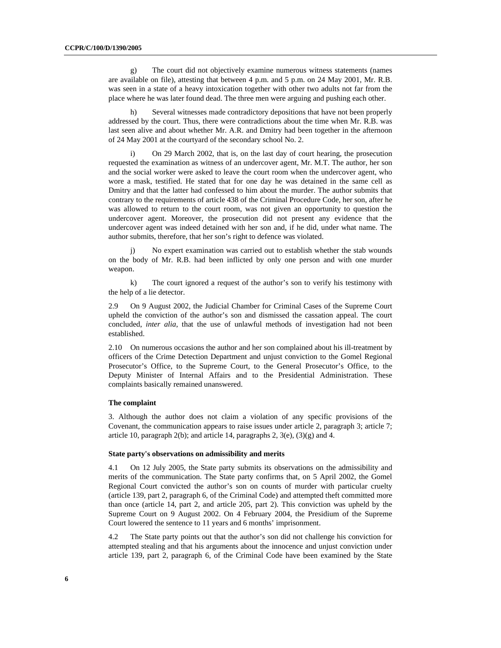g) The court did not objectively examine numerous witness statements (names are available on file), attesting that between 4 p.m. and 5 p.m. on 24 May 2001, Mr. R.B. was seen in a state of a heavy intoxication together with other two adults not far from the place where he was later found dead. The three men were arguing and pushing each other.

Several witnesses made contradictory depositions that have not been properly addressed by the court. Thus, there were contradictions about the time when Mr. R.B. was last seen alive and about whether Mr. A.R. and Dmitry had been together in the afternoon of 24 May 2001 at the courtyard of the secondary school No. 2.

i) On 29 March 2002, that is, on the last day of court hearing, the prosecution requested the examination as witness of an undercover agent, Mr. M.T. The author, her son and the social worker were asked to leave the court room when the undercover agent, who wore a mask, testified. He stated that for one day he was detained in the same cell as Dmitry and that the latter had confessed to him about the murder. The author submits that contrary to the requirements of article 438 of the Criminal Procedure Code, her son, after he was allowed to return to the court room, was not given an opportunity to question the undercover agent. Moreover, the prosecution did not present any evidence that the undercover agent was indeed detained with her son and, if he did, under what name. The author submits, therefore, that her son's right to defence was violated.

j) No expert examination was carried out to establish whether the stab wounds on the body of Mr. R.B. had been inflicted by only one person and with one murder weapon.

k) The court ignored a request of the author's son to verify his testimony with the help of a lie detector.

2.9 On 9 August 2002, the Judicial Chamber for Criminal Cases of the Supreme Court upheld the conviction of the author's son and dismissed the cassation appeal. The court concluded, *inter alia*, that the use of unlawful methods of investigation had not been established.

2.10 On numerous occasions the author and her son complained about his ill-treatment by officers of the Crime Detection Department and unjust conviction to the Gomel Regional Prosecutor's Office, to the Supreme Court, to the General Prosecutor's Office, to the Deputy Minister of Internal Affairs and to the Presidential Administration. These complaints basically remained unanswered.

## **The complaint**

3. Although the author does not claim a violation of any specific provisions of the Covenant, the communication appears to raise issues under article 2, paragraph 3; article 7; article 10, paragraph 2(b); and article 14, paragraphs 2, 3(e), (3)(g) and 4.

### **State party's observations on admissibility and merits**

4.1 On 12 July 2005, the State party submits its observations on the admissibility and merits of the communication. The State party confirms that, on 5 April 2002, the Gomel Regional Court convicted the author's son on counts of murder with particular cruelty (article 139, part 2, paragraph 6, of the Criminal Code) and attempted theft committed more than once (article 14, part 2, and article 205, part 2). This conviction was upheld by the Supreme Court on 9 August 2002. On 4 February 2004, the Presidium of the Supreme Court lowered the sentence to 11 years and 6 months' imprisonment.

4.2 The State party points out that the author's son did not challenge his conviction for attempted stealing and that his arguments about the innocence and unjust conviction under article 139, part 2, paragraph 6, of the Criminal Code have been examined by the State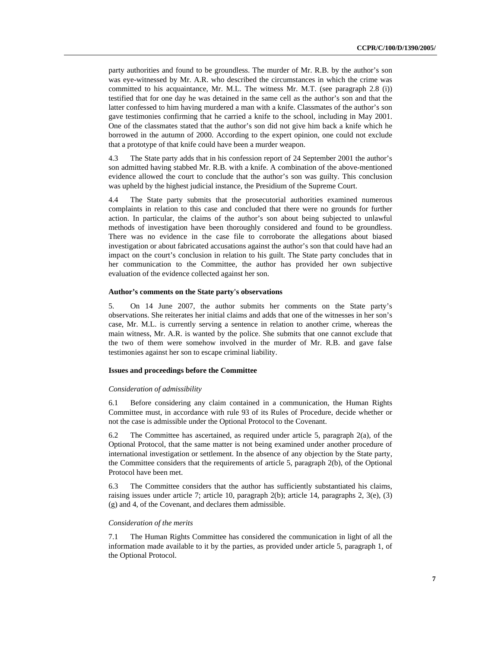party authorities and found to be groundless. The murder of Mr. R.B. by the author's son was eye-witnessed by Mr. A.R. who described the circumstances in which the crime was committed to his acquaintance, Mr. M.L. The witness Mr. M.T. (see paragraph 2.8 (i)) testified that for one day he was detained in the same cell as the author's son and that the latter confessed to him having murdered a man with a knife. Classmates of the author's son gave testimonies confirming that he carried a knife to the school, including in May 2001. One of the classmates stated that the author's son did not give him back a knife which he borrowed in the autumn of 2000. According to the expert opinion, one could not exclude that a prototype of that knife could have been a murder weapon.

4.3 The State party adds that in his confession report of 24 September 2001 the author's son admitted having stabbed Mr. R.B. with a knife. A combination of the above-mentioned evidence allowed the court to conclude that the author's son was guilty. This conclusion was upheld by the highest judicial instance, the Presidium of the Supreme Court.

4.4 The State party submits that the prosecutorial authorities examined numerous complaints in relation to this case and concluded that there were no grounds for further action. In particular, the claims of the author's son about being subjected to unlawful methods of investigation have been thoroughly considered and found to be groundless. There was no evidence in the case file to corroborate the allegations about biased investigation or about fabricated accusations against the author's son that could have had an impact on the court's conclusion in relation to his guilt. The State party concludes that in her communication to the Committee, the author has provided her own subjective evaluation of the evidence collected against her son.

## **Author's comments on the State party's observations**

5. On 14 June 2007, the author submits her comments on the State party's observations. She reiterates her initial claims and adds that one of the witnesses in her son's case, Mr. M.L. is currently serving a sentence in relation to another crime, whereas the main witness, Mr. A.R. is wanted by the police. She submits that one cannot exclude that the two of them were somehow involved in the murder of Mr. R.B. and gave false testimonies against her son to escape criminal liability.

### **Issues and proceedings before the Committee**

#### *Consideration of admissibility*

6.1 Before considering any claim contained in a communication, the Human Rights Committee must, in accordance with rule 93 of its Rules of Procedure, decide whether or not the case is admissible under the Optional Protocol to the Covenant.

6.2 The Committee has ascertained, as required under article 5, paragraph 2(a), of the Optional Protocol, that the same matter is not being examined under another procedure of international investigation or settlement. In the absence of any objection by the State party, the Committee considers that the requirements of article 5, paragraph 2(b), of the Optional Protocol have been met.

6.3 The Committee considers that the author has sufficiently substantiated his claims, raising issues under article 7; article 10, paragraph 2(b); article 14, paragraphs 2, 3(e), (3) (g) and 4, of the Covenant, and declares them admissible.

## *Consideration of the merits*

7.1 The Human Rights Committee has considered the communication in light of all the information made available to it by the parties, as provided under article 5, paragraph 1, of the Optional Protocol.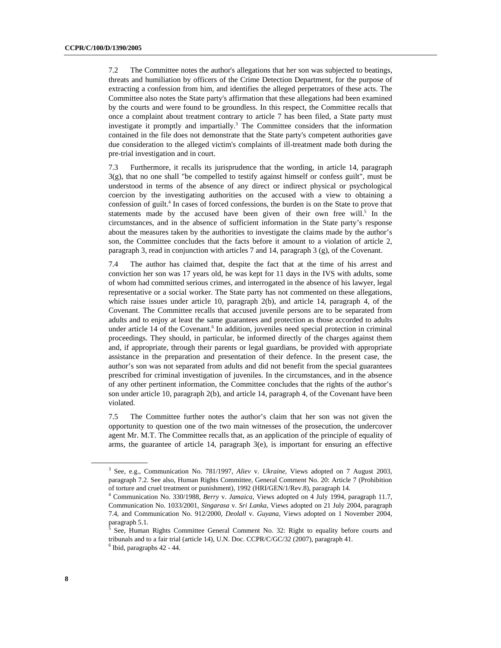7.2 The Committee notes the author's allegations that her son was subjected to beatings, threats and humiliation by officers of the Crime Detection Department, for the purpose of extracting a confession from him, and identifies the alleged perpetrators of these acts. The Committee also notes the State party's affirmation that these allegations had been examined by the courts and were found to be groundless. In this respect, the Committee recalls that once a complaint about treatment contrary to article 7 has been filed, a State party must investigate it promptly and impartially.<sup>3</sup> The Committee considers that the information contained in the file does not demonstrate that the State party's competent authorities gave due consideration to the alleged victim's complaints of ill-treatment made both during the pre-trial investigation and in court.

7.3 Furthermore, it recalls its jurisprudence that the wording, in article 14, paragraph 3(g), that no one shall "be compelled to testify against himself or confess guilt", must be understood in terms of the absence of any direct or indirect physical or psychological coercion by the investigating authorities on the accused with a view to obtaining a confession of guilt.<sup>4</sup> In cases of forced confessions, the burden is on the State to prove that statements made by the accused have been given of their own free will.<sup>5</sup> In the circumstances, and in the absence of sufficient information in the State party's response about the measures taken by the authorities to investigate the claims made by the author's son, the Committee concludes that the facts before it amount to a violation of article 2, paragraph 3, read in conjunction with articles 7 and 14, paragraph  $3$  (g), of the Covenant.

7.4 The author has claimed that, despite the fact that at the time of his arrest and conviction her son was 17 years old, he was kept for 11 days in the IVS with adults, some of whom had committed serious crimes, and interrogated in the absence of his lawyer, legal representative or a social worker. The State party has not commented on these allegations, which raise issues under article 10, paragraph 2(b), and article 14, paragraph 4, of the Covenant. The Committee recalls that accused juvenile persons are to be separated from adults and to enjoy at least the same guarantees and protection as those accorded to adults under article 14 of the Covenant.<sup>6</sup> In addition, juveniles need special protection in criminal proceedings. They should, in particular, be informed directly of the charges against them and, if appropriate, through their parents or legal guardians, be provided with appropriate assistance in the preparation and presentation of their defence. In the present case, the author's son was not separated from adults and did not benefit from the special guarantees prescribed for criminal investigation of juveniles. In the circumstances, and in the absence of any other pertinent information, the Committee concludes that the rights of the author's son under article 10, paragraph 2(b), and article 14, paragraph 4, of the Covenant have been violated.

7.5 The Committee further notes the author's claim that her son was not given the opportunity to question one of the two main witnesses of the prosecution, the undercover agent Mr. M.T. The Committee recalls that, as an application of the principle of equality of arms, the guarantee of article 14, paragraph 3(e), is important for ensuring an effective

<sup>3</sup> See, e.g., Communication No. 781/1997, *Aliev* v. *Ukraine*, Views adopted on 7 August 2003, paragraph 7.2. See also, Human Rights Committee, General Comment No. 20: Article 7 (Prohibition of torture and cruel treatment or punishment), 1992 (HRI/GEN/1/Rev.8), paragraph 14.

<sup>4</sup> Communication No. 330/1988, *Berry* v. *Jamaica*, Views adopted on 4 July 1994, paragraph 11.7, Communication No. 1033/2001, *Singarasa* v. *Sri Lanka*, Views adopted on 21 July 2004, paragraph 7.4, and Communication No. 912/2000, *Deolall* v*. Guyana*, Views adopted on 1 November 2004, paragraph 5.1.

<sup>5</sup> See, Human Rights Committee General Comment No. 32: Right to equality before courts and tribunals and to a fair trial (article 14), U.N. Doc. CCPR/C/GC/32 (2007), paragraph 41.

 $6$  Ibid, paragraphs 42 - 44.